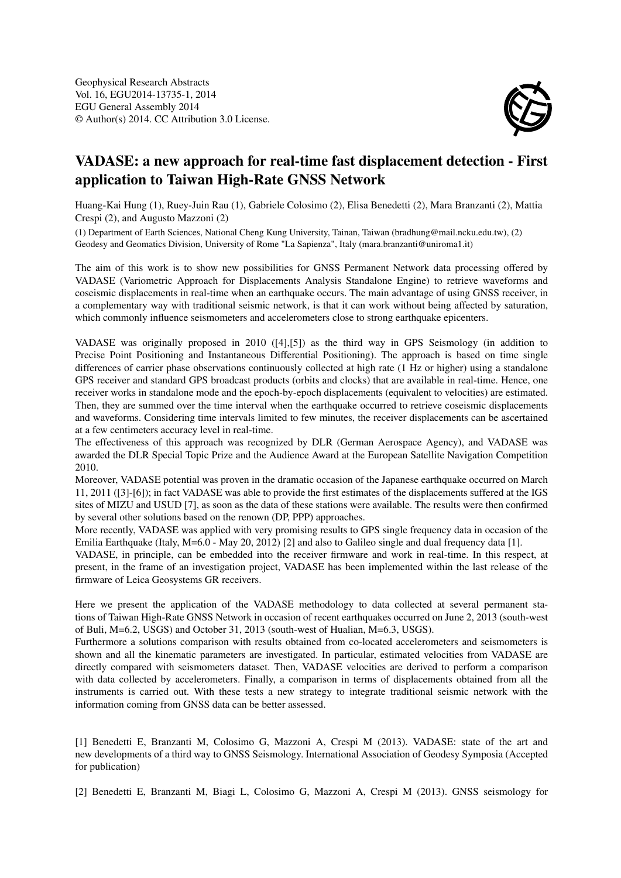

## VADASE: a new approach for real-time fast displacement detection - First application to Taiwan High-Rate GNSS Network

Huang-Kai Hung (1), Ruey-Juin Rau (1), Gabriele Colosimo (2), Elisa Benedetti (2), Mara Branzanti (2), Mattia Crespi (2), and Augusto Mazzoni (2)

(1) Department of Earth Sciences, National Cheng Kung University, Tainan, Taiwan (bradhung@mail.ncku.edu.tw), (2) Geodesy and Geomatics Division, University of Rome "La Sapienza", Italy (mara.branzanti@uniroma1.it)

The aim of this work is to show new possibilities for GNSS Permanent Network data processing offered by VADASE (Variometric Approach for Displacements Analysis Standalone Engine) to retrieve waveforms and coseismic displacements in real-time when an earthquake occurs. The main advantage of using GNSS receiver, in a complementary way with traditional seismic network, is that it can work without being affected by saturation, which commonly influence seismometers and accelerometers close to strong earthquake epicenters.

VADASE was originally proposed in 2010 ([4],[5]) as the third way in GPS Seismology (in addition to Precise Point Positioning and Instantaneous Differential Positioning). The approach is based on time single differences of carrier phase observations continuously collected at high rate (1 Hz or higher) using a standalone GPS receiver and standard GPS broadcast products (orbits and clocks) that are available in real-time. Hence, one receiver works in standalone mode and the epoch-by-epoch displacements (equivalent to velocities) are estimated. Then, they are summed over the time interval when the earthquake occurred to retrieve coseismic displacements and waveforms. Considering time intervals limited to few minutes, the receiver displacements can be ascertained at a few centimeters accuracy level in real-time.

The effectiveness of this approach was recognized by DLR (German Aerospace Agency), and VADASE was awarded the DLR Special Topic Prize and the Audience Award at the European Satellite Navigation Competition 2010.

Moreover, VADASE potential was proven in the dramatic occasion of the Japanese earthquake occurred on March 11, 2011 ([3]-[6]); in fact VADASE was able to provide the first estimates of the displacements suffered at the IGS sites of MIZU and USUD [7], as soon as the data of these stations were available. The results were then confirmed by several other solutions based on the renown (DP, PPP) approaches.

More recently, VADASE was applied with very promising results to GPS single frequency data in occasion of the Emilia Earthquake (Italy, M=6.0 - May 20, 2012) [2] and also to Galileo single and dual frequency data [1].

VADASE, in principle, can be embedded into the receiver firmware and work in real-time. In this respect, at present, in the frame of an investigation project, VADASE has been implemented within the last release of the firmware of Leica Geosystems GR receivers.

Here we present the application of the VADASE methodology to data collected at several permanent stations of Taiwan High-Rate GNSS Network in occasion of recent earthquakes occurred on June 2, 2013 (south-west of Buli, M=6.2, USGS) and October 31, 2013 (south-west of Hualian, M=6.3, USGS).

Furthermore a solutions comparison with results obtained from co-located accelerometers and seismometers is shown and all the kinematic parameters are investigated. In particular, estimated velocities from VADASE are directly compared with seismometers dataset. Then, VADASE velocities are derived to perform a comparison with data collected by accelerometers. Finally, a comparison in terms of displacements obtained from all the instruments is carried out. With these tests a new strategy to integrate traditional seismic network with the information coming from GNSS data can be better assessed.

[1] Benedetti E, Branzanti M, Colosimo G, Mazzoni A, Crespi M (2013). VADASE: state of the art and new developments of a third way to GNSS Seismology. International Association of Geodesy Symposia (Accepted for publication)

[2] Benedetti E, Branzanti M, Biagi L, Colosimo G, Mazzoni A, Crespi M (2013). GNSS seismology for